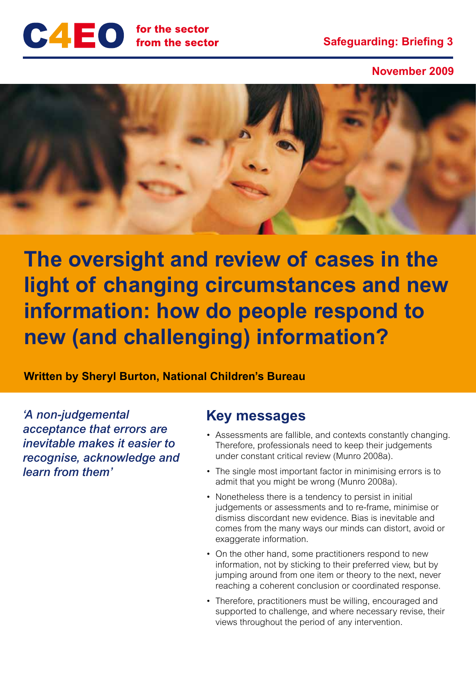

**November 2009**



**The oversight and review of cases in the light of changing circumstances and new information: how do people respond to new (and challenging) information?**

**Written by Sheryl Burton, National Children's Bureau**

*'A non-judgemental acceptance that errors are inevitable makes it easier to recognise, acknowledge and learn from them'*

## **Key messages**

- Assessments are fallible, and contexts constantly changing. Therefore, professionals need to keep their judgements under constant critical review (Munro 2008a).
- The single most important factor in minimising errors is to admit that you might be wrong (Munro 2008a).
- Nonetheless there is a tendency to persist in initial judgements or assessments and to re-frame, minimise or dismiss discordant new evidence. Bias is inevitable and comes from the many ways our minds can distort, avoid or exaggerate information.
- On the other hand, some practitioners respond to new information, not by sticking to their preferred view, but by jumping around from one item or theory to the next, never reaching a coherent conclusion or coordinated response.
- Therefore, practitioners must be willing, encouraged and supported to challenge, and where necessary revise, their views throughout the period of any intervention.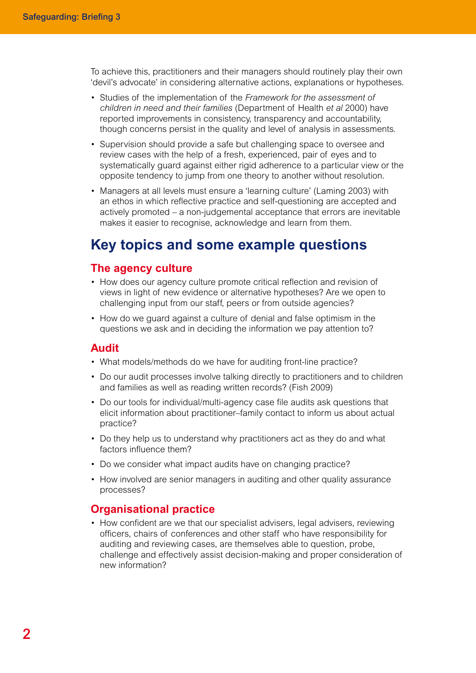To achieve this, practitioners and their managers should routinely play their own 'devil's advocate' in considering alternative actions, explanations or hypotheses.

- Studies of the implementation of the *Framework for the assessment of children in need and their families* (Department of Health *et al* 2000) have reported improvements in consistency, transparency and accountability, though concerns persist in the quality and level of analysis in assessments.
- Supervision should provide a safe but challenging space to oversee and review cases with the help of a fresh, experienced, pair of eyes and to systematically guard against either rigid adherence to a particular view or the opposite tendency to jump from one theory to another without resolution.
- Managers at all levels must ensure a 'learning culture' (Laming 2003) with an ethos in which reflective practice and self-questioning are accepted and actively promoted – a non-judgemental acceptance that errors are inevitable makes it easier to recognise, acknowledge and learn from them.

## **Key topics and some example questions**

#### **The agency culture**

- How does our agency culture promote critical reflection and revision of views in light of new evidence or alternative hypotheses? Are we open to challenging input from our staff, peers or from outside agencies?
- How do we guard against a culture of denial and false optimism in the questions we ask and in deciding the information we pay attention to?

#### **Audit**

- What models/methods do we have for auditing front-line practice?
- Do our audit processes involve talking directly to practitioners and to children and families as well as reading written records? (Fish 2009)
- Do our tools for individual/multi-agency case file audits ask questions that elicit information about practitioner–family contact to inform us about actual practice?
- Do they help us to understand why practitioners act as they do and what factors influence them?
- Do we consider what impact audits have on changing practice?
- How involved are senior managers in auditing and other quality assurance processes?

#### **Organisational practice**

• How confident are we that our specialist advisers, legal advisers, reviewing officers, chairs of conferences and other staff who have responsibility for auditing and reviewing cases, are themselves able to question, probe, challenge and effectively assist decision-making and proper consideration of new information?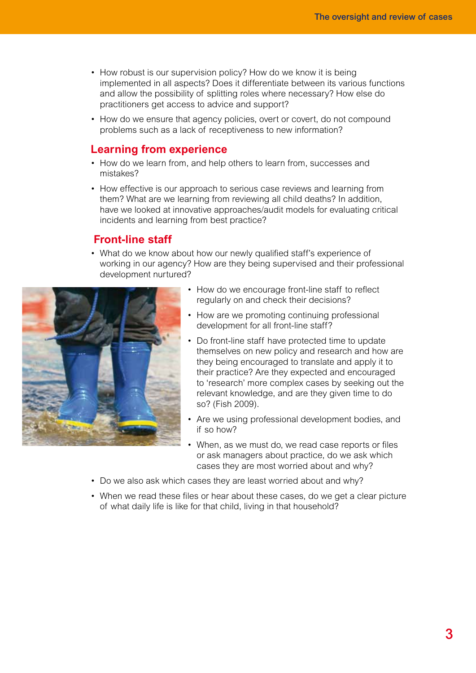- How robust is our supervision policy? How do we know it is being implemented in all aspects? Does it differentiate between its various functions and allow the possibility of splitting roles where necessary? How else do practitioners get access to advice and support?
- How do we ensure that agency policies, overt or covert, do not compound problems such as a lack of receptiveness to new information?

### **Learning from experience**

- How do we learn from, and help others to learn from, successes and mistakes?
- How effective is our approach to serious case reviews and learning from them? What are we learning from reviewing all child deaths? In addition, have we looked at innovative approaches/audit models for evaluating critical incidents and learning from best practice?

#### **Front-line staff**

• What do we know about how our newly qualified staff's experience of working in our agency? How are they being supervised and their professional development nurtured?



- How do we encourage front-line staff to reflect regularly on and check their decisions?
- How are we promoting continuing professional development for all front-line staff?
- Do front-line staff have protected time to update themselves on new policy and research and how are they being encouraged to translate and apply it to their practice? Are they expected and encouraged to 'research' more complex cases by seeking out the relevant knowledge, and are they given time to do so? (Fish 2009).
- Are we using professional development bodies, and if so how?
- When, as we must do, we read case reports or files or ask managers about practice, do we ask which cases they are most worried about and why?
- Do we also ask which cases they are least worried about and why?
- When we read these files or hear about these cases, do we get a clear picture of what daily life is like for that child, living in that household?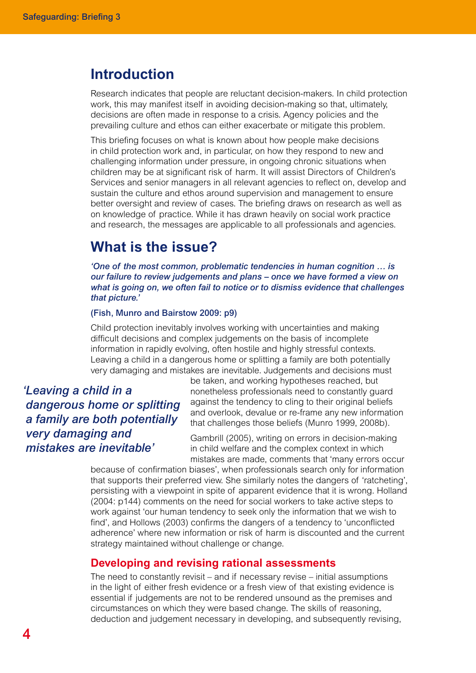## **Introduction**

Research indicates that people are reluctant decision-makers. In child protection work, this may manifest itself in avoiding decision-making so that, ultimately, decisions are often made in response to a crisis. Agency policies and the prevailing culture and ethos can either exacerbate or mitigate this problem.

This briefing focuses on what is known about how people make decisions in child protection work and, in particular, on how they respond to new and challenging information under pressure, in ongoing chronic situations when children may be at significant risk of harm. It will assist Directors of Children's Services and senior managers in all relevant agencies to reflect on, develop and sustain the culture and ethos around supervision and management to ensure better oversight and review of cases. The briefing draws on research as well as on knowledge of practice. While it has drawn heavily on social work practice and research, the messages are applicable to all professionals and agencies.

## **What is the issue?**

*'One of the most common, problematic tendencies in human cognition … is our failure to review judgements and plans – once we have formed a view on what is going on, we often fail to notice or to dismiss evidence that challenges that picture.'*

#### (Fish, Munro and Bairstow 2009: p9)

Child protection inevitably involves working with uncertainties and making difficult decisions and complex judgements on the basis of incomplete information in rapidly evolving, often hostile and highly stressful contexts. Leaving a child in a dangerous home or splitting a family are both potentially very damaging and mistakes are inevitable. Judgements and decisions must

*'Leaving a child in a dangerous home or splitting a family are both potentially very damaging and mistakes are inevitable'*

be taken, and working hypotheses reached, but nonetheless professionals need to constantly guard against the tendency to cling to their original beliefs and overlook, devalue or re-frame any new information that challenges those beliefs (Munro 1999, 2008b).

Gambrill (2005), writing on errors in decision-making in child welfare and the complex context in which mistakes are made, comments that 'many errors occur

because of confirmation biases', when professionals search only for information that supports their preferred view. She similarly notes the dangers of 'ratcheting', persisting with a viewpoint in spite of apparent evidence that it is wrong. Holland (2004: p144) comments on the need for social workers to take active steps to work against 'our human tendency to seek only the information that we wish to find', and Hollows (2003) confirms the dangers of a tendency to 'unconflicted adherence' where new information or risk of harm is discounted and the current strategy maintained without challenge or change.

#### **Developing and revising rational assessments**

The need to constantly revisit – and if necessary revise – initial assumptions in the light of either fresh evidence or a fresh view of that existing evidence is essential if judgements are not to be rendered unsound as the premises and circumstances on which they were based change. The skills of reasoning, deduction and judgement necessary in developing, and subsequently revising,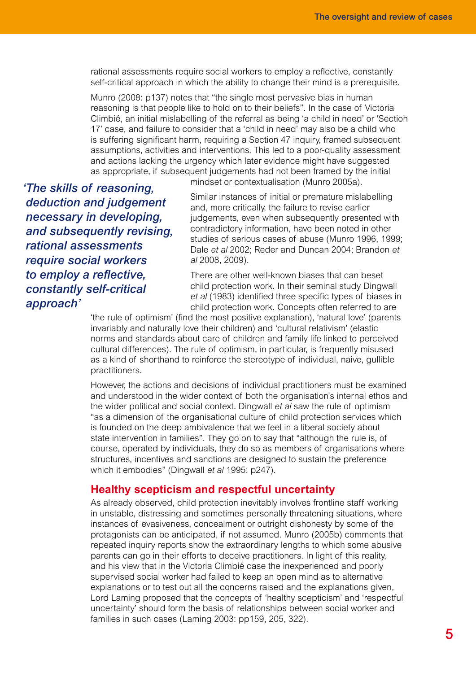rational assessments require social workers to employ a reflective, constantly self-critical approach in which the ability to change their mind is a prerequisite.

Munro (2008: p137) notes that "the single most pervasive bias in human reasoning is that people like to hold on to their beliefs". In the case of Victoria Climbié, an initial mislabelling of the referral as being 'a child in need' or 'Section 17' case, and failure to consider that a 'child in need' may also be a child who is suffering significant harm, requiring a Section 47 inquiry, framed subsequent assumptions, activities and interventions. This led to a poor-quality assessment and actions lacking the urgency which later evidence might have suggested as appropriate, if subsequent judgements had not been framed by the initial

*'The skills of reasoning, deduction and judgement necessary in developing, and subsequently revising, rational assessments require social workers to employ a reflective, constantly self-critical approach'*

mindset or contextualisation (Munro 2005a).

Similar instances of initial or premature mislabelling and, more critically, the failure to revise earlier judgements, even when subsequently presented with contradictory information, have been noted in other studies of serious cases of abuse (Munro 1996, 1999; Dale *et al* 2002; Reder and Duncan 2004; Brandon *et al* 2008, 2009).

There are other well-known biases that can beset child protection work. In their seminal study Dingwall *et al* (1983) identified three specific types of biases in child protection work. Concepts often referred to are

'the rule of optimism' (find the most positive explanation), 'natural love' (parents invariably and naturally love their children) and 'cultural relativism' (elastic norms and standards about care of children and family life linked to perceived cultural differences). The rule of optimism, in particular, is frequently misused as a kind of shorthand to reinforce the stereotype of individual, naive, gullible practitioners.

However, the actions and decisions of individual practitioners must be examined and understood in the wider context of both the organisation's internal ethos and the wider political and social context. Dingwall *et al* saw the rule of optimism "as a dimension of the organisational culture of child protection services which is founded on the deep ambivalence that we feel in a liberal society about state intervention in families". They go on to say that "although the rule is, of course, operated by individuals, they do so as members of organisations where structures, incentives and sanctions are designed to sustain the preference which it embodies" (Dingwall *et al* 1995: p247).

#### **Healthy scepticism and respectful uncertainty**

As already observed, child protection inevitably involves frontline staff working in unstable, distressing and sometimes personally threatening situations, where instances of evasiveness, concealment or outright dishonesty by some of the protagonists can be anticipated, if not assumed. Munro (2005b) comments that repeated inquiry reports show the extraordinary lengths to which some abusive parents can go in their efforts to deceive practitioners. In light of this reality, and his view that in the Victoria Climbié case the inexperienced and poorly supervised social worker had failed to keep an open mind as to alternative explanations or to test out all the concerns raised and the explanations given, Lord Laming proposed that the concepts of 'healthy scepticism' and 'respectful uncertainty' should form the basis of relationships between social worker and families in such cases (Laming 2003: pp159, 205, 322).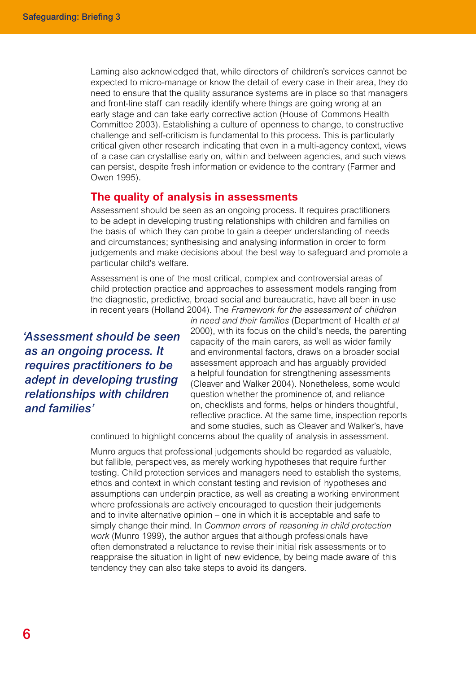Laming also acknowledged that, while directors of children's services cannot be expected to micro-manage or know the detail of every case in their area, they do need to ensure that the quality assurance systems are in place so that managers and front-line staff can readily identify where things are going wrong at an early stage and can take early corrective action (House of Commons Health Committee 2003). Establishing a culture of openness to change, to constructive challenge and self-criticism is fundamental to this process. This is particularly critical given other research indicating that even in a multi-agency context, views of a case can crystallise early on, within and between agencies, and such views can persist, despite fresh information or evidence to the contrary (Farmer and Owen 1995).

#### **The quality of analysis in assessments**

Assessment should be seen as an ongoing process. It requires practitioners to be adept in developing trusting relationships with children and families on the basis of which they can probe to gain a deeper understanding of needs and circumstances; synthesising and analysing information in order to form judgements and make decisions about the best way to safeguard and promote a particular child's welfare.

Assessment is one of the most critical, complex and controversial areas of child protection practice and approaches to assessment models ranging from the diagnostic, predictive, broad social and bureaucratic, have all been in use in recent years (Holland 2004). The *Framework for the assessment of children* 

*'Assessment should be seen as an ongoing process. It requires practitioners to be adept in developing trusting relationships with children and families'*

*in need and their families* (Department of Health *et al* 2000), with its focus on the child's needs, the parenting capacity of the main carers, as well as wider family and environmental factors, draws on a broader social assessment approach and has arguably provided a helpful foundation for strengthening assessments (Cleaver and Walker 2004). Nonetheless, some would question whether the prominence of, and reliance on, checklists and forms, helps or hinders thoughtful, reflective practice. At the same time, inspection reports and some studies, such as Cleaver and Walker's, have

continued to highlight concerns about the quality of analysis in assessment.

Munro argues that professional judgements should be regarded as valuable, but fallible, perspectives, as merely working hypotheses that require further testing. Child protection services and managers need to establish the systems, ethos and context in which constant testing and revision of hypotheses and assumptions can underpin practice, as well as creating a working environment where professionals are actively encouraged to question their judgements and to invite alternative opinion – one in which it is acceptable and safe to simply change their mind. In *Common errors of reasoning in child protection work* (Munro 1999), the author argues that although professionals have often demonstrated a reluctance to revise their initial risk assessments or to reappraise the situation in light of new evidence, by being made aware of this tendency they can also take steps to avoid its dangers.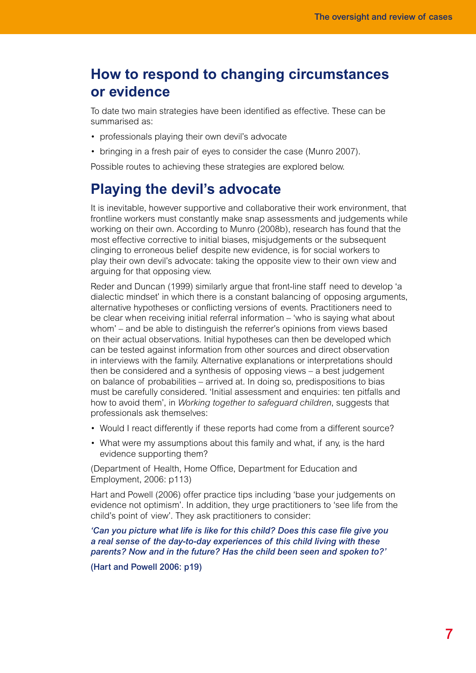# **How to respond to changing circumstances or evidence**

To date two main strategies have been identified as effective. These can be summarised as:

- professionals playing their own devil's advocate
- bringing in a fresh pair of eyes to consider the case (Munro 2007).

Possible routes to achieving these strategies are explored below.

# **Playing the devil's advocate**

It is inevitable, however supportive and collaborative their work environment, that frontline workers must constantly make snap assessments and judgements while working on their own. According to Munro (2008b), research has found that the most effective corrective to initial biases, misjudgements or the subsequent clinging to erroneous belief despite new evidence, is for social workers to play their own devil's advocate: taking the opposite view to their own view and arguing for that opposing view.

Reder and Duncan (1999) similarly argue that front-line staff need to develop 'a dialectic mindset' in which there is a constant balancing of opposing arguments, alternative hypotheses or conflicting versions of events. Practitioners need to be clear when receiving initial referral information – 'who is saying what about whom' – and be able to distinguish the referrer's opinions from views based on their actual observations. Initial hypotheses can then be developed which can be tested against information from other sources and direct observation in interviews with the family. Alternative explanations or interpretations should then be considered and a synthesis of opposing views – a best judgement on balance of probabilities – arrived at. In doing so, predispositions to bias must be carefully considered. 'Initial assessment and enquiries: ten pitfalls and how to avoid them', in *Working together to safeguard children*, suggests that professionals ask themselves:

- Would I react differently if these reports had come from a different source?
- What were my assumptions about this family and what, if any, is the hard evidence supporting them?

(Department of Health, Home Office, Department for Education and Employment, 2006: p113)

Hart and Powell (2006) offer practice tips including 'base your judgements on evidence not optimism'. In addition, they urge practitioners to 'see life from the child's point of view'. They ask practitioners to consider:

*'Can you picture what life is like for this child? Does this case file give you a real sense of the day-to-day experiences of this child living with these parents? Now and in the future? Has the child been seen and spoken to?'*

(Hart and Powell 2006: p19)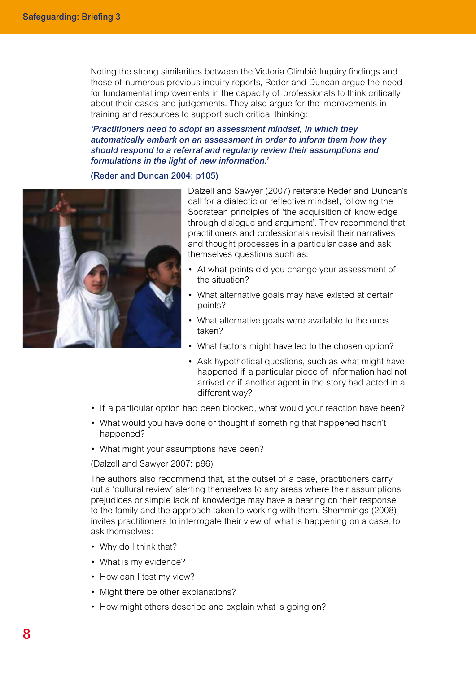Noting the strong similarities between the Victoria Climbié Inquiry findings and those of numerous previous inquiry reports, Reder and Duncan argue the need for fundamental improvements in the capacity of professionals to think critically about their cases and judgements. They also argue for the improvements in training and resources to support such critical thinking:

#### *'Practitioners need to adopt an assessment mindset, in which they automatically embark on an assessment in order to inform them how they should respond to a referral and regularly review their assumptions and formulations in the light of new information.'*

#### (Reder and Duncan 2004: p105)



Dalzell and Sawyer (2007) reiterate Reder and Duncan's call for a dialectic or reflective mindset, following the Socratean principles of 'the acquisition of knowledge through dialogue and argument'. They recommend that practitioners and professionals revisit their narratives and thought processes in a particular case and ask themselves questions such as:

- At what points did you change your assessment of the situation?
- What alternative goals may have existed at certain points?
- What alternative goals were available to the ones taken?
- What factors might have led to the chosen option?
- Ask hypothetical questions, such as what might have happened if a particular piece of information had not arrived or if another agent in the story had acted in a different way?
- If a particular option had been blocked, what would your reaction have been?
- What would you have done or thought if something that happened hadn't happened?
- What might your assumptions have been?

(Dalzell and Sawyer 2007: p96)

The authors also recommend that, at the outset of a case, practitioners carry out a 'cultural review' alerting themselves to any areas where their assumptions, prejudices or simple lack of knowledge may have a bearing on their response to the family and the approach taken to working with them. Shemmings (2008) invites practitioners to interrogate their view of what is happening on a case, to ask themselves:

- Why do I think that?
- What is my evidence?
- How can I test my view?
- Might there be other explanations?
- How might others describe and explain what is going on?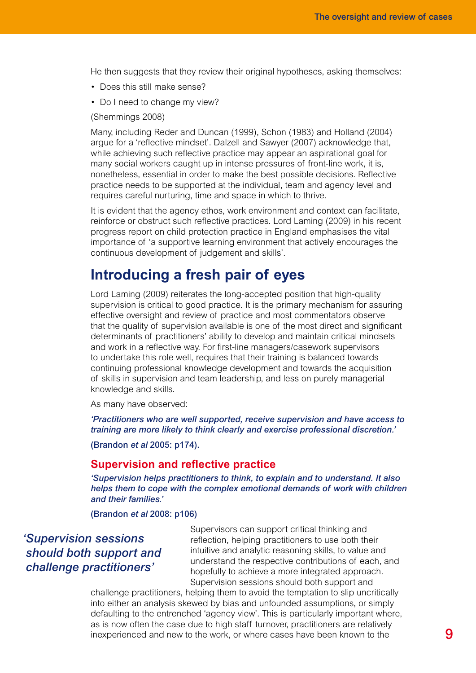He then suggests that they review their original hypotheses, asking themselves:

- Does this still make sense?
- Do I need to change my view?

(Shemmings 2008)

Many, including Reder and Duncan (1999), Schon (1983) and Holland (2004) argue for a 'reflective mindset'. Dalzell and Sawyer (2007) acknowledge that, while achieving such reflective practice may appear an aspirational goal for many social workers caught up in intense pressures of front-line work, it is, nonetheless, essential in order to make the best possible decisions. Reflective practice needs to be supported at the individual, team and agency level and requires careful nurturing, time and space in which to thrive.

It is evident that the agency ethos, work environment and context can facilitate, reinforce or obstruct such reflective practices. Lord Laming (2009) in his recent progress report on child protection practice in England emphasises the vital importance of 'a supportive learning environment that actively encourages the continuous development of judgement and skills'.

## **Introducing a fresh pair of eyes**

Lord Laming (2009) reiterates the long-accepted position that high-quality supervision is critical to good practice. It is the primary mechanism for assuring effective oversight and review of practice and most commentators observe that the quality of supervision available is one of the most direct and significant determinants of practitioners' ability to develop and maintain critical mindsets and work in a reflective way. For first-line managers/casework supervisors to undertake this role well, requires that their training is balanced towards continuing professional knowledge development and towards the acquisition of skills in supervision and team leadership, and less on purely managerial knowledge and skills.

As many have observed:

*'Practitioners who are well supported, receive supervision and have access to training are more likely to think clearly and exercise professional discretion.'*

(Brandon *et al* 2005: p174).

#### **Supervision and reflective practice**

*'Supervision helps practitioners to think, to explain and to understand. It also helps them to cope with the complex emotional demands of work with children and their families.'*

(Brandon *et al* 2008: p106)

## *'Supervision sessions should both support and challenge practitioners'*

Supervisors can support critical thinking and reflection, helping practitioners to use both their intuitive and analytic reasoning skills, to value and understand the respective contributions of each, and hopefully to achieve a more integrated approach. Supervision sessions should both support and

challenge practitioners, helping them to avoid the temptation to slip uncritically into either an analysis skewed by bias and unfounded assumptions, or simply defaulting to the entrenched 'agency view'. This is particularly important where, as is now often the case due to high staff turnover, practitioners are relatively inexperienced and new to the work, or where cases have been known to the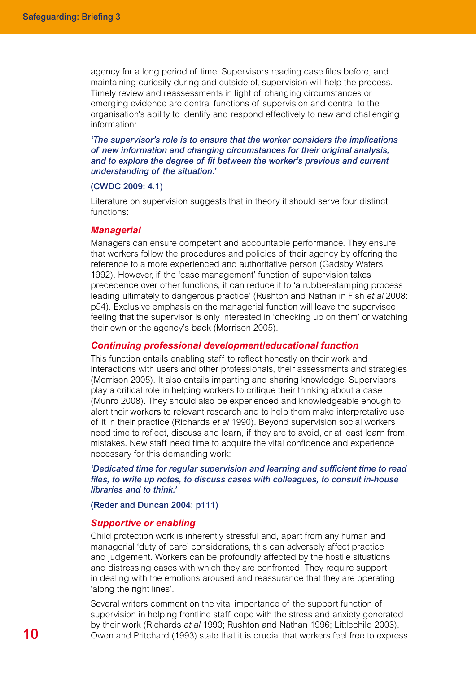agency for a long period of time. Supervisors reading case files before, and maintaining curiosity during and outside of, supervision will help the process. Timely review and reassessments in light of changing circumstances or emerging evidence are central functions of supervision and central to the organisation's ability to identify and respond effectively to new and challenging information:

*'The supervisor's role is to ensure that the worker considers the implications of new information and changing circumstances for their original analysis, and to explore the degree of fit between the worker's previous and current understanding of the situation.'*

#### (CWDC 2009: 4.1)

Literature on supervision suggests that in theory it should serve four distinct functions:

#### *Managerial*

Managers can ensure competent and accountable performance. They ensure that workers follow the procedures and policies of their agency by offering the reference to a more experienced and authoritative person (Gadsby Waters 1992). However, if the 'case management' function of supervision takes precedence over other functions, it can reduce it to 'a rubber-stamping process leading ultimately to dangerous practice' (Rushton and Nathan in Fish *et al* 2008: p54). Exclusive emphasis on the managerial function will leave the supervisee feeling that the supervisor is only interested in 'checking up on them' or watching their own or the agency's back (Morrison 2005).

#### *Continuing professional development/educational function*

This function entails enabling staff to reflect honestly on their work and interactions with users and other professionals, their assessments and strategies (Morrison 2005). It also entails imparting and sharing knowledge. Supervisors play a critical role in helping workers to critique their thinking about a case (Munro 2008). They should also be experienced and knowledgeable enough to alert their workers to relevant research and to help them make interpretative use of it in their practice (Richards *et al* 1990). Beyond supervision social workers need time to reflect, discuss and learn, if they are to avoid, or at least learn from, mistakes. New staff need time to acquire the vital confidence and experience necessary for this demanding work:

*'Dedicated time for regular supervision and learning and sufficient time to read files, to write up notes, to discuss cases with colleagues, to consult in-house libraries and to think.'*

#### (Reder and Duncan 2004: p111)

#### *Supportive or enabling*

Child protection work is inherently stressful and, apart from any human and managerial 'duty of care' considerations, this can adversely affect practice and judgement. Workers can be profoundly affected by the hostile situations and distressing cases with which they are confronted. They require support in dealing with the emotions aroused and reassurance that they are operating 'along the right lines'.

Several writers comment on the vital importance of the support function of supervision in helping frontline staff cope with the stress and anxiety generated by their work (Richards *et al* 1990; Rushton and Nathan 1996; Littlechild 2003). Owen and Pritchard (1993) state that it is crucial that workers feel free to express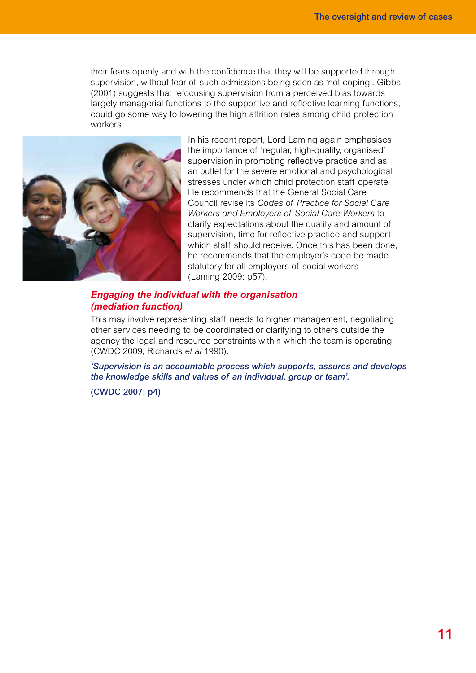their fears openly and with the confidence that they will be supported through supervision, without fear of such admissions being seen as 'not coping'. Gibbs (2001) suggests that refocusing supervision from a perceived bias towards largely managerial functions to the supportive and reflective learning functions, could go some way to lowering the high attrition rates among child protection workers.



In his recent report, Lord Laming again emphasises the importance of 'regular, high-quality, organised' supervision in promoting reflective practice and as an outlet for the severe emotional and psychological stresses under which child protection staff operate. He recommends that the General Social Care Council revise its *Codes of Practice for Social Care Workers and Employers of Social Care Workers* to clarify expectations about the quality and amount of supervision, time for reflective practice and support which staff should receive. Once this has been done, he recommends that the employer's code be made statutory for all employers of social workers (Laming 2009: p57).

#### *Engaging the individual with the organisation (mediation function)*

This may involve representing staff needs to higher management, negotiating other services needing to be coordinated or clarifying to others outside the agency the legal and resource constraints within which the team is operating (CWDC 2009; Richards *et al* 1990).

*'Supervision is an accountable process which supports, assures and develops the knowledge skills and values of an individual, group or team'.* 

(CWDC 2007: p4)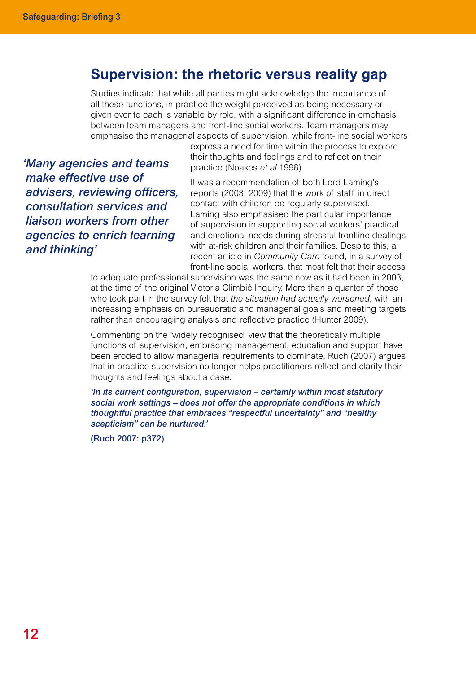## **Supervision: the rhetoric versus reality gap**

Studies indicate that while all parties might acknowledge the importance of all these functions, in practice the weight perceived as being necessary or given over to each is variable by role, with a significant difference in emphasis between team managers and front-line social workers. Team managers may emphasise the managerial aspects of supervision, while front-line social workers

*'Many agencies and teams make effective use of advisers, reviewing officers, consultation services and liaison workers from other agencies to enrich learning and thinking'*

express a need for time within the process to explore their thoughts and feelings and to reflect on their practice (Noakes *et al* 1998).

It was a recommendation of both Lord Laming's reports (2003, 2009) that the work of staff in direct contact with children be regularly supervised. Laming also emphasised the particular importance of supervision in supporting social workers' practical and emotional needs during stressful frontline dealings with at-risk children and their families. Despite this, a recent article in *Community Care* found, in a survey of front-line social workers, that most felt that their access

to adequate professional supervision was the same now as it had been in 2003, at the time of the original Victoria Climbié Inquiry. More than a quarter of those who took part in the survey felt that *the situation had actually worsened*, with an increasing emphasis on bureaucratic and managerial goals and meeting targets rather than encouraging analysis and reflective practice (Hunter 2009).

Commenting on the 'widely recognised' view that the theoretically multiple functions of supervision, embracing management, education and support have been eroded to allow managerial requirements to dominate, Ruch (2007) argues that in practice supervision no longer helps practitioners reflect and clarify their thoughts and feelings about a case:

*'In its current configuration, supervision – certainly within most statutory social work settings – does not offer the appropriate conditions in which thoughtful practice that embraces "respectful uncertainty" and "healthy scepticism" can be nurtured.'*

(Ruch 2007: p372)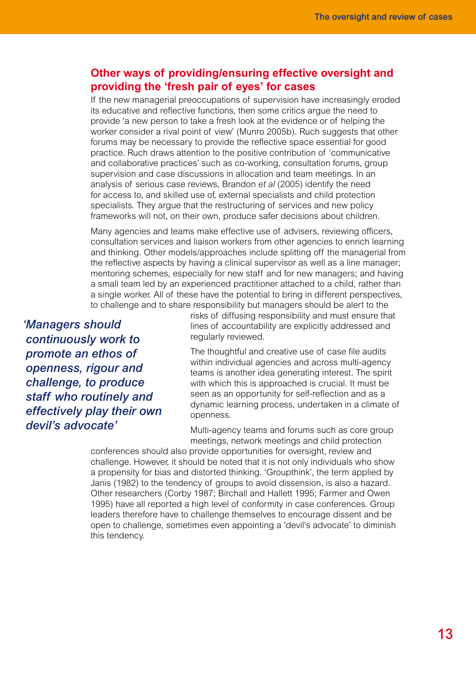### **Other ways of providing/ensuring effective oversight and providing the 'fresh pair of eyes' for cases**

If the new managerial preoccupations of supervision have increasingly eroded its educative and reflective functions, then some critics argue the need to provide 'a new person to take a fresh look at the evidence or of helping the worker consider a rival point of view' (Munro 2005b). Ruch suggests that other forums may be necessary to provide the reflective space essential for good practice. Ruch draws attention to the positive contribution of 'communicative and collaborative practices' such as co-working, consultation forums, group supervision and case discussions in allocation and team meetings. In an analysis of serious case reviews, Brandon *et al* (2005) identify the need for access to, and skilled use of, external specialists and child protection specialists. They argue that the restructuring of services and new policy frameworks will not, on their own, produce safer decisions about children.

Many agencies and teams make effective use of advisers, reviewing officers, consultation services and liaison workers from other agencies to enrich learning and thinking. Other models/approaches include splitting off the managerial from the reflective aspects by having a clinical supervisor as well as a line manager; mentoring schemes, especially for new staff and for new managers; and having a small team led by an experienced practitioner attached to a child, rather than a single worker. All of these have the potential to bring in different perspectives, to challenge and to share responsibility but managers should be alert to the

*'Managers should continuously work to promote an ethos of openness, rigour and challenge, to produce staff who routinely and effectively play their own devil's advocate'*

risks of diffusing responsibility and must ensure that lines of accountability are explicitly addressed and regularly reviewed.

The thoughtful and creative use of case file audits within individual agencies and across multi-agency teams is another idea generating interest. The spirit with which this is approached is crucial. It must be seen as an opportunity for self-reflection and as a dynamic learning process, undertaken in a climate of openness.

Multi-agency teams and forums such as core group meetings, network meetings and child protection

conferences should also provide opportunities for oversight, review and challenge. However, it should be noted that it is not only individuals who show a propensity for bias and distorted thinking. 'Groupthink', the term applied by Janis (1982) to the tendency of groups to avoid dissension, is also a hazard. Other researchers (Corby 1987; Birchall and Hallett 1995; Farmer and Owen 1995) have all reported a high level of conformity in case conferences. Group leaders therefore have to challenge themselves to encourage dissent and be open to challenge, sometimes even appointing a 'devil's advocate' to diminish this tendency.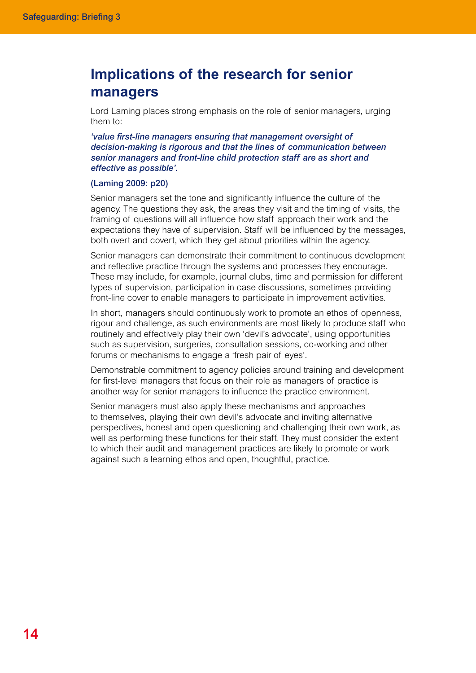# **Implications of the research for senior managers**

Lord Laming places strong emphasis on the role of senior managers, urging them to:

*'value first-line managers ensuring that management oversight of decision-making is rigorous and that the lines of communication between senior managers and front-line child protection staff are as short and effective as possible'.*

#### (Laming 2009: p20)

Senior managers set the tone and significantly influence the culture of the agency. The questions they ask, the areas they visit and the timing of visits, the framing of questions will all influence how staff approach their work and the expectations they have of supervision. Staff will be influenced by the messages, both overt and covert, which they get about priorities within the agency.

Senior managers can demonstrate their commitment to continuous development and reflective practice through the systems and processes they encourage. These may include, for example, journal clubs, time and permission for different types of supervision, participation in case discussions, sometimes providing front-line cover to enable managers to participate in improvement activities.

In short, managers should continuously work to promote an ethos of openness, rigour and challenge, as such environments are most likely to produce staff who routinely and effectively play their own 'devil's advocate', using opportunities such as supervision, surgeries, consultation sessions, co-working and other forums or mechanisms to engage a 'fresh pair of eyes'.

Demonstrable commitment to agency policies around training and development for first-level managers that focus on their role as managers of practice is another way for senior managers to influence the practice environment.

Senior managers must also apply these mechanisms and approaches to themselves, playing their own devil's advocate and inviting alternative perspectives, honest and open questioning and challenging their own work, as well as performing these functions for their staff. They must consider the extent to which their audit and management practices are likely to promote or work against such a learning ethos and open, thoughtful, practice.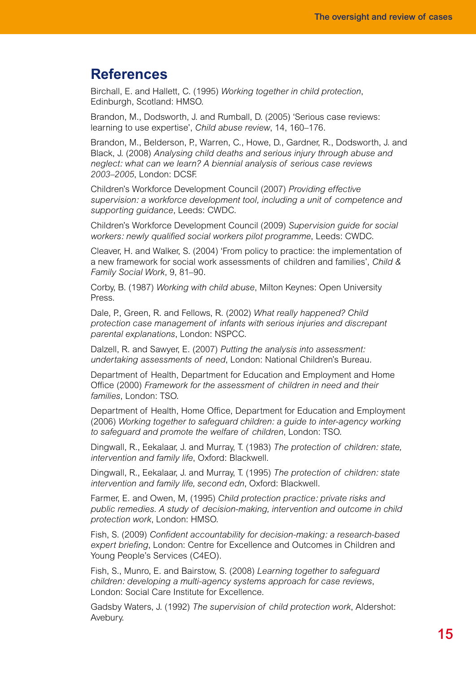## **References**

Birchall, E. and Hallett, C. (1995) *Working together in child protection*, Edinburgh, Scotland: HMSO.

Brandon, M., Dodsworth, J. and Rumball, D. (2005) 'Serious case reviews: learning to use expertise', *Child abuse review*, 14, 160–176.

Brandon, M., Belderson, P., Warren, C., Howe, D., Gardner, R., Dodsworth, J. and Black, J. (2008) *Analysing child deaths and serious injury through abuse and neglect: what can we learn? A biennial analysis of serious case reviews 2003–2005*, London: DCSF.

Children's Workforce Development Council (2007) *Providing effective supervision: a workforce development tool, including a unit of competence and supporting guidance*, Leeds: CWDC.

Children's Workforce Development Council (2009) *Supervision guide for social workers: newly qualified social workers pilot programme*, Leeds: CWDC.

Cleaver, H. and Walker, S. (2004) 'From policy to practice: the implementation of a new framework for social work assessments of children and families', *Child & Family Social Work*, 9, 81–90.

Corby, B. (1987) *Working with child abuse*, Milton Keynes: Open University Press.

Dale, P., Green, R. and Fellows, R. (2002) *What really happened? Child protection case management of infants with serious injuries and discrepant parental explanations*, London: NSPCC.

Dalzell, R. and Sawyer, E. (2007) *Putting the analysis into assessment: undertaking assessments of need*, London: National Children's Bureau.

Department of Health, Department for Education and Employment and Home Office (2000) *Framework for the assessment of children in need and their families*, London: TSO.

Department of Health, Home Office, Department for Education and Employment (2006) *Working together to safeguard children: a guide to inter-agency working to safeguard and promote the welfare of children*, London: TSO.

Dingwall, R., Eekalaar, J. and Murray, T. (1983) *The protection of children: state, intervention and family life*, Oxford: Blackwell.

Dingwall, R., Eekalaar, J. and Murray, T. (1995) *The protection of children: state intervention and family life, second edn*, Oxford: Blackwell.

Farmer, E. and Owen, M, (1995) *Child protection practice: private risks and public remedies. A study of decision-making, intervention and outcome in child protection work*, London: HMSO.

Fish, S. (2009) *Confident accountability for decision-making: a research-based expert briefing*, London: Centre for Excellence and Outcomes in Children and Young People's Services (C4EO).

Fish, S., Munro, E. and Bairstow, S. (2008) *Learning together to safeguard children: developing a multi-agency systems approach for case reviews*, London: Social Care Institute for Excellence.

Gadsby Waters, J. (1992) *The supervision of child protection work*, Aldershot: Avebury.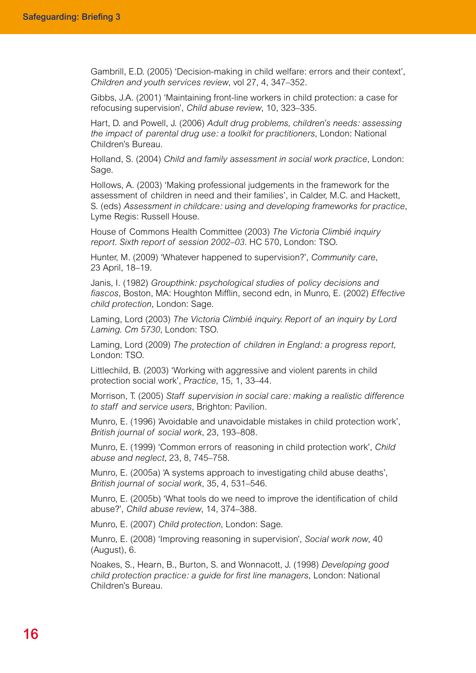Gambrill, E.D. (2005) 'Decision-making in child welfare: errors and their context', *Children and youth services review*, vol 27, 4, 347–352.

Gibbs, J.A. (2001) 'Maintaining front-line workers in child protection: a case for refocusing supervision', *Child abuse review*, 10, 323–335.

Hart, D. and Powell, J. (2006) *Adult drug problems, children's needs: assessing the impact of parental drug use: a toolkit for practitioners*, London: National Children's Bureau.

Holland, S. (2004) *Child and family assessment in social work practice*, London: Sage.

Hollows, A. (2003) 'Making professional judgements in the framework for the assessment of children in need and their families', in Calder, M.C. and Hackett, S. (eds) *Assessment in childcare: using and developing frameworks for practice*, Lyme Regis: Russell House.

House of Commons Health Committee (2003) *The Victoria Climbié inquiry report. Sixth report of session 2002–03*. HC 570, London: TSO.

Hunter, M. (2009) 'Whatever happened to supervision?', *Community care*, 23 April, 18–19.

Janis, I. (1982) *Groupthink: psychological studies of policy decisions and fiascos*, Boston, MA: Houghton Mifflin, second edn, in Munro, E. (2002) *Effective child protection*, London: Sage.

Laming, Lord (2003) *The Victoria Climbié inquiry. Report of an inquiry by Lord Laming. Cm 5730*, London: TSO.

Laming, Lord (2009) *The protection of children in England: a progress report,* London: TSO.

Littlechild, B. (2003) 'Working with aggressive and violent parents in child protection social work', *Practice*, 15, 1, 33–44.

Morrison, T. (2005) *Staff supervision in social care: making a realistic difference to staff and service users*, Brighton: Pavilion.

Munro, E. (1996) 'Avoidable and unavoidable mistakes in child protection work', *British journal of social work*, 23, 193–808.

Munro, E. (1999) 'Common errors of reasoning in child protection work', *Child abuse and neglect*, 23, 8, 745–758.

Munro, E. (2005a) 'A systems approach to investigating child abuse deaths', *British journal of social work*, 35, 4, 531–546.

Munro, E. (2005b) 'What tools do we need to improve the identification of child abuse?', *Child abuse review*, 14, 374–388.

Munro, E. (2007) *Child protection*, London: Sage.

Munro, E. (2008) 'Improving reasoning in supervision', *Social work now*, 40 (August), 6.

Noakes, S., Hearn, B., Burton, S. and Wonnacott, J. (1998) *Developing good child protection practice: a guide for first line managers*, London: National Children's Bureau.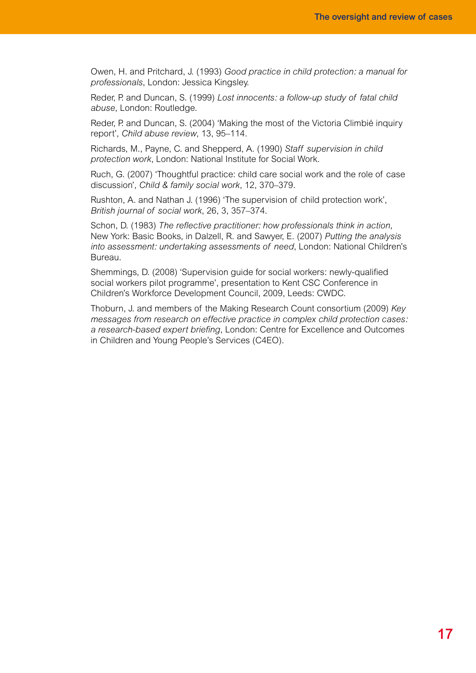Owen, H. and Pritchard, J. (1993) *Good practice in child protection: a manual for professionals*, London: Jessica Kingsley.

Reder, P. and Duncan, S. (1999) *Lost innocents: a follow-up study of fatal child abuse*, London: Routledge.

Reder, P. and Duncan, S. (2004) 'Making the most of the Victoria Climbié inquiry report', *Child abuse review*, 13, 95–114.

Richards, M., Payne, C. and Shepperd, A. (1990) *Staff supervision in child protection work*, London: National Institute for Social Work.

Ruch, G. (2007) 'Thoughtful practice: child care social work and the role of case discussion', *Child & family social work*, 12, 370–379.

Rushton, A. and Nathan J. (1996) 'The supervision of child protection work', *British journal of social work*, 26, 3, 357–374.

Schon, D. (1983) *The reflective practitioner: how professionals think in action*, New York: Basic Books, in Dalzell, R. and Sawyer, E. (2007) *Putting the analysis into assessment: undertaking assessments of need*, London: National Children's Bureau.

Shemmings, D. (2008) 'Supervision guide for social workers: newly-qualified social workers pilot programme', presentation to Kent CSC Conference in Children's Workforce Development Council, 2009, Leeds: CWDC.

Thoburn, J. and members of the Making Research Count consortium (2009) *Key messages from research on effective practice in complex child protection cases: a research-based expert briefing*, London: Centre for Excellence and Outcomes in Children and Young People's Services (C4EO).